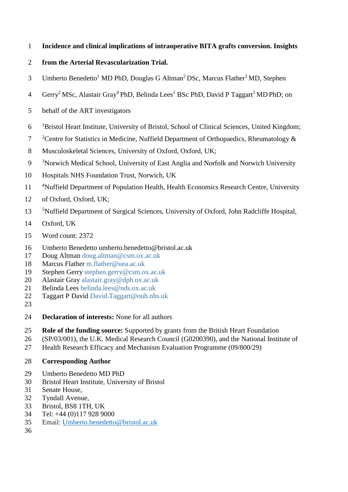- **Incidence and clinical implications of intraoperative BITA grafts conversion. Insights**
- **from the Arterial Revascularization Trial.**
- 3 Umberto Benedetto<sup>1</sup> MD PhD, Douglas G Altman<sup>2</sup> DSc, Marcus Flather<sup>3</sup> MD, Stephen
- 4 Gerry<sup>2</sup> MSc, Alastair Gray<sup>4</sup> PhD, Belinda Lees<sup>1</sup> BSc PhD, David P Taggart<sup>5</sup> MD PhD; on
- behalf of the ART investigators
- 6 <sup>1</sup>Bristol Heart Institute, University of Bristol, School of Clinical Sciences, United Kingdom;
- <sup>2</sup> Centre for Statistics in Medicine, Nuffield Department of Orthopaedics, Rheumatology &
- Musculoskeletal Sciences, University of Oxford, Oxford, UK;
- <sup>3</sup>Norwich Medical School, University of East Anglia and Norfolk and Norwich University
- Hospitals NHS Foundation Trust, Norwich, UK
- 11 <sup>4</sup>Nuffield Department of Population Health, Health Economics Research Centre, University
- of Oxford, Oxford, UK;
- <sup>5</sup>Nuffield Department of Surgical Sciences, University of Oxford, John Radcliffe Hospital,
- Oxford, UK
- Word count: 2372
- Umberto Benedetto umberto.benedetto@bristol.ac.uk
- Doug Altman [doug.altman@csm.ox.ac.uk](mailto:doug.altman@csm.ox.ac.uk)
- Marcus Flather [m.flather@uea.ac.uk](mailto:m.flather@uea.ac.uk)
- Stephen Gerry [stephen.gerry@csm.ox.ac.uk](mailto:stephen.gerry@csm.ox.ac.uk)
- Alastair Gray [alastair.gray@dph.ox.ac.uk](mailto:alastair.gray@dph.ox.ac.uk)
- Belinda Lees [belinda.lees@nds.ox.ac.uk](mailto:belinda.lees@nds.ox.ac.uk)
- Taggart P David [David.Taggart@ouh.nhs.uk](mailto:David.Taggart@ouh.nhs.uk)
- 
- **Declaration of interests:** None for all authors
- **Role of the funding source:** Supported by grants from the British Heart Foundation
- (SP/03/001), the U.K. Medical Research Council (G0200390), and the National Institute of
- Health Research Efficacy and Mechanism Evaluation Programme (09/800/29)
- **Corresponding Author**
- Umberto Benedetto MD PhD
- Bristol Heart Institute, University of Bristol
- Senate House,
- Tyndall Avenue,
- Bristol, BS8 1TH, UK
- Tel: +44 (0)117 928 9000
- Email: [Umberto.benedetto@bristol.ac.uk](mailto:Umberto.benedetto@bristol.ac.uk)
-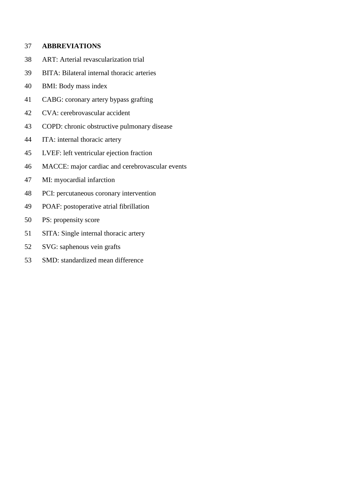## **ABBREVIATIONS**

- ART: Arterial revascularization trial
- BITA: Bilateral internal thoracic arteries
- BMI: Body mass index
- CABG: coronary artery bypass grafting
- CVA: cerebrovascular accident
- COPD: chronic obstructive pulmonary disease
- ITA: internal thoracic artery
- LVEF: left ventricular ejection fraction
- MACCE: major cardiac and cerebrovascular events
- MI: myocardial infarction
- PCI: percutaneous coronary intervention
- POAF: postoperative atrial fibrillation
- PS: propensity score
- SITA: Single internal thoracic artery
- SVG: saphenous vein grafts
- SMD: standardized mean difference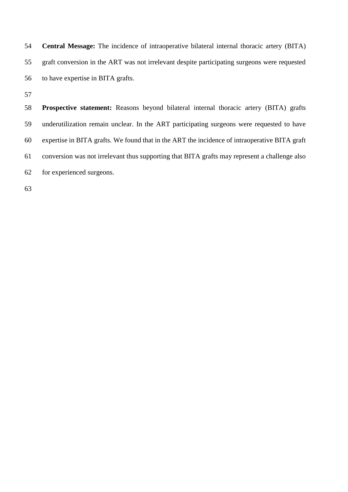**Central Message:** The incidence of intraoperative bilateral internal thoracic artery (BITA) graft conversion in the ART was not irrelevant despite participating surgeons were requested to have expertise in BITA grafts.

 **Prospective statement:** Reasons beyond bilateral internal thoracic artery (BITA) grafts underutilization remain unclear. In the ART participating surgeons were requested to have expertise in BITA grafts. We found that in the ART the incidence of intraoperative BITA graft conversion was not irrelevant thus supporting that BITA grafts may represent a challenge also for experienced surgeons.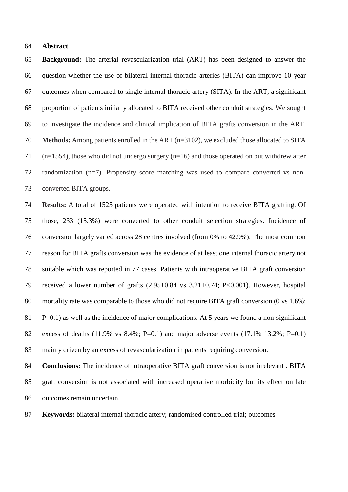#### **Abstract**

 **Background:** The arterial revascularization trial (ART) has been designed to answer the question whether the use of bilateral internal thoracic arteries (BITA) can improve 10-year outcomes when compared to single internal thoracic artery (SITA). In the ART, a significant proportion of patients initially allocated to BITA received other conduit strategies. We sought to investigate the incidence and clinical implication of BITA grafts conversion in the ART. **Methods:** Among patients enrolled in the ART (n=3102), we excluded those allocated to SITA (n=1554), those who did not undergo surgery (n=16) and those operated on but withdrew after randomization (n=7). Propensity score matching was used to compare converted vs non-converted BITA groups.

 **Results:** A total of 1525 patients were operated with intention to receive BITA grafting. Of those, 233 (15.3%) were converted to other conduit selection strategies. Incidence of conversion largely varied across 28 centres involved (from 0% to 42.9%). The most common reason for BITA grafts conversion was the evidence of at least one internal thoracic artery not suitable which was reported in 77 cases. Patients with intraoperative BITA graft conversion received a lower number of grafts (2.95±0.84 vs 3.21±0.74; P<0.001). However, hospital mortality rate was comparable to those who did not require BITA graft conversion (0 vs 1.6%; P=0.1) as well as the incidence of major complications. At 5 years we found a non-significant excess of deaths (11.9% vs 8.4%; P=0.1) and major adverse events (17.1% 13.2%; P=0.1) mainly driven by an excess of revascularization in patients requiring conversion.

 **Conclusions:** The incidence of intraoperative BITA graft conversion is not irrelevant . BITA graft conversion is not associated with increased operative morbidity but its effect on late outcomes remain uncertain.

**Keywords:** bilateral internal thoracic artery; randomised controlled trial; outcomes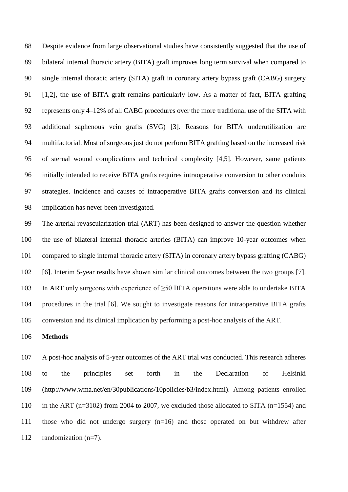Despite evidence from large observational studies have consistently suggested that the use of bilateral internal thoracic artery (BITA) graft improves long term survival when compared to single internal thoracic artery (SITA) graft in coronary artery bypass graft (CABG) surgery [1,2], the use of BITA graft remains particularly low. As a matter of fact, BITA grafting represents only 4–12% of all CABG procedures over the more traditional use of the SITA with additional saphenous vein grafts (SVG) [3]. Reasons for BITA underutilization are multifactorial. Most of surgeons just do not perform BITA grafting based on the increased risk of sternal wound complications and technical complexity [4,5]. However, same patients initially intended to receive BITA grafts requires intraoperative conversion to other conduits strategies. Incidence and causes of intraoperative BITA grafts conversion and its clinical implication has never been investigated.

 The arterial revascularization trial (ART) has been designed to answer the question whether the use of bilateral internal thoracic arteries (BITA) can improve 10-year outcomes when compared to single internal thoracic artery (SITA) in coronary artery bypass grafting (CABG) [6]. Interim 5-year results have shown similar clinical outcomes between the two groups [7]. 103 In ART only surgeons with experience of  $\geq$ 50 BITA operations were able to undertake BITA procedures in the trial [6]. We sought to investigate reasons for intraoperative BITA grafts conversion and its clinical implication by performing a post-hoc analysis of the ART.

## **Methods**

 A post-hoc analysis of 5-year outcomes of the ART trial was conducted. This research adheres to the principles set forth in the Declaration of Helsinki (http://www.wma.net/en/30publications/10policies/b3/index.html). Among patients enrolled in the ART (n=3102) from 2004 to 2007, we excluded those allocated to SITA (n=1554) and those who did not undergo surgery (n=16) and those operated on but withdrew after randomization (n=7).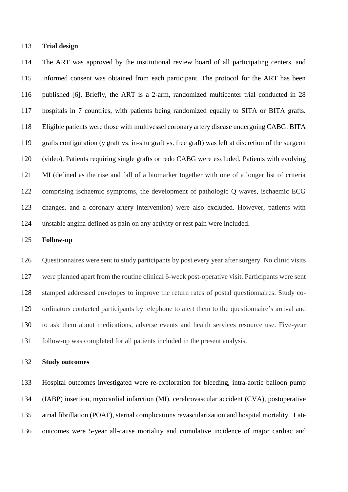#### **Trial design**

 The ART was approved by the institutional review board of all participating centers, and informed consent was obtained from each participant. The protocol for the ART has been published [6]. Briefly, the ART is a 2-arm, randomized multicenter trial conducted in 28 hospitals in 7 countries, with patients being randomized equally to SITA or BITA grafts. Eligible patients were those with multivessel coronary artery disease undergoing CABG. BITA grafts configuration (y graft vs. in-situ graft vs. free graft) was left at discretion of the surgeon (video). Patients requiring single grafts or redo CABG were excluded. Patients with evolving MI (defined as the rise and fall of a biomarker together with one of a longer list of criteria comprising ischaemic symptoms, the development of pathologic Q waves, ischaemic ECG changes, and a coronary artery intervention) were also excluded. However, patients with unstable angina defined as pain on any activity or rest pain were included.

#### **Follow-up**

 Questionnaires were sent to study participants by post every year after surgery. No clinic visits were planned apart from the routine clinical 6-week post-operative visit. Participants were sent stamped addressed envelopes to improve the return rates of postal questionnaires. Study co- ordinators contacted participants by telephone to alert them to the questionnaire's arrival and to ask them about medications, adverse events and health services resource use. Five-year follow-up was completed for all patients included in the present analysis.

## **Study outcomes**

 Hospital outcomes investigated were re-exploration for bleeding, intra-aortic balloon pump (IABP) insertion, myocardial infarction (MI), cerebrovascular accident (CVA), postoperative atrial fibrillation (POAF), sternal complications revascularization and hospital mortality. Late outcomes were 5-year all-cause mortality and cumulative incidence of major cardiac and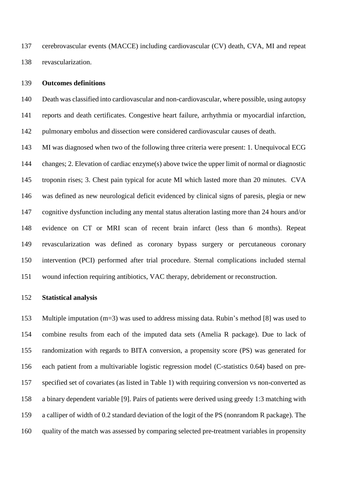cerebrovascular events (MACCE) including cardiovascular (CV) death, CVA, MI and repeat revascularization.

#### **Outcomes definitions**

 Death was classified into cardiovascular and non-cardiovascular, where possible, using autopsy reports and death certificates. Congestive heart failure, arrhythmia or myocardial infarction, pulmonary embolus and dissection were considered cardiovascular causes of death.

 MI was diagnosed when two of the following three criteria were present: 1. Unequivocal ECG changes; 2. Elevation of cardiac enzyme(s) above twice the upper limit of normal or diagnostic troponin rises; 3. Chest pain typical for acute MI which lasted more than 20 minutes. CVA was defined as new neurological deficit evidenced by clinical signs of paresis, plegia or new cognitive dysfunction including any mental status alteration lasting more than 24 hours and/or evidence on CT or MRI scan of recent brain infarct (less than 6 months). Repeat revascularization was defined as coronary bypass surgery or percutaneous coronary intervention (PCI) performed after trial procedure. Sternal complications included sternal wound infection requiring antibiotics, VAC therapy, debridement or reconstruction.

#### **Statistical analysis**

 Multiple imputation (m=3) was used to address missing data. Rubin's method [8] was used to combine results from each of the imputed data sets (Amelia R package). Due to lack of randomization with regards to BITA conversion, a propensity score (PS) was generated for each patient from a multivariable logistic regression model (C-statistics 0.64) based on pre- specified set of covariates (as listed in Table 1) with requiring conversion vs non-converted as a binary dependent variable [9]. Pairs of patients were derived using greedy 1:3 matching with a calliper of width of 0.2 standard deviation of the logit of the PS [\(nonrandom](http://cran.rproject.org/package=nonrandom) R package). The quality of the match was assessed by comparing selected pre-treatment variables in propensity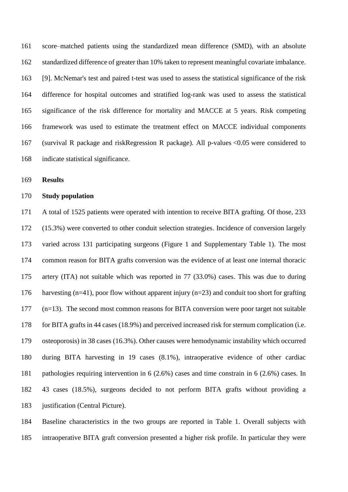score–matched patients using the standardized mean difference (SMD), with an absolute standardized difference of greater than 10% taken to represent meaningful covariate imbalance. [9]. McNemar's test and paired t-test was used to assess the statistical significance of the risk difference for hospital outcomes and stratified log-rank was used to assess the statistical significance of the risk difference for mortality and MACCE at 5 years. Risk competing framework was used to estimate the treatment effect on MACCE individual components (survival R package and riskRegression R package). All p-values <0.05 were considered to indicate statistical significance.

**Results**

### **Study population**

 A total of 1525 patients were operated with intention to receive BITA grafting. Of those, 233 (15.3%) were converted to other conduit selection strategies. Incidence of conversion largely varied across 131 participating surgeons (Figure 1 and Supplementary Table 1). The most common reason for BITA grafts conversion was the evidence of at least one internal thoracic artery (ITA) not suitable which was reported in 77 (33.0%) cases. This was due to during harvesting (n=41), poor flow without apparent injury (n=23) and conduit too short for grafting (n=13). The second most common reasons for BITA conversion were poor target not suitable for BITA grafts in 44 cases (18.9%) and perceived increased risk for sternum complication (i.e. osteoporosis) in 38 cases (16.3%). Other causes were hemodynamic instability which occurred during BITA harvesting in 19 cases (8.1%), intraoperative evidence of other cardiac pathologies requiring intervention in 6 (2.6%) cases and time constrain in 6 (2.6%) cases. In 43 cases (18.5%), surgeons decided to not perform BITA grafts without providing a justification (Central Picture).

 Baseline characteristics in the two groups are reported in Table 1. Overall subjects with intraoperative BITA graft conversion presented a higher risk profile. In particular they were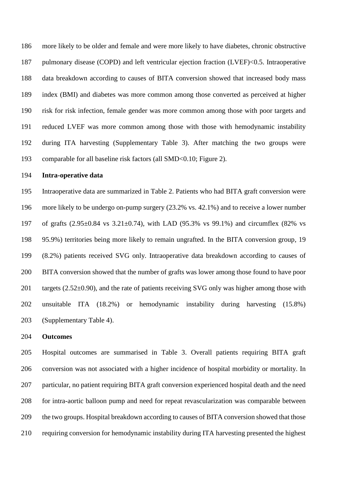more likely to be older and female and were more likely to have diabetes, chronic obstructive pulmonary disease (COPD) and left ventricular ejection fraction (LVEF)<0.5. Intraoperative data breakdown according to causes of BITA conversion showed that increased body mass index (BMI) and diabetes was more common among those converted as perceived at higher risk for risk infection, female gender was more common among those with poor targets and reduced LVEF was more common among those with those with hemodynamic instability during ITA harvesting (Supplementary Table 3). After matching the two groups were comparable for all baseline risk factors (all SMD<0.10; Figure 2).

#### **Intra-operative data**

 Intraoperative data are summarized in Table 2. Patients who had BITA graft conversion were more likely to be undergo on-pump surgery (23.2% vs. 42.1%) and to receive a lower number 197 of grafts  $(2.95\pm0.84 \text{ vs } 3.21\pm0.74)$ , with LAD  $(95.3\% \text{ vs } 99.1\%)$  and circumflex  $(82\% \text{ vs } 99.1\%)$  95.9%) territories being more likely to remain ungrafted. In the BITA conversion group, 19 (8.2%) patients received SVG only. Intraoperative data breakdown according to causes of BITA conversion showed that the number of grafts was lower among those found to have poor 201 targets  $(2.52\pm0.90)$ , and the rate of patients receiving SVG only was higher among those with unsuitable ITA (18.2%) or hemodynamic instability during harvesting (15.8%) (Supplementary Table 4).

#### **Outcomes**

 Hospital outcomes are summarised in Table 3. Overall patients requiring BITA graft conversion was not associated with a higher incidence of hospital morbidity or mortality. In particular, no patient requiring BITA graft conversion experienced hospital death and the need for intra-aortic balloon pump and need for repeat revascularization was comparable between the two groups. Hospital breakdown according to causes of BITA conversion showed that those requiring conversion for hemodynamic instability during ITA harvesting presented the highest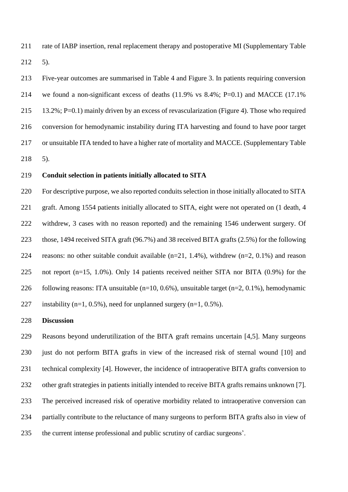rate of IABP insertion, renal replacement therapy and postoperative MI (Supplementary Table 5).

 Five-year outcomes are summarised in Table 4 and Figure 3. In patients requiring conversion we found a non-significant excess of deaths (11.9% vs 8.4%; P=0.1) and MACCE (17.1% 13.2%; P=0.1) mainly driven by an excess of revascularization (Figure 4). Those who required conversion for hemodynamic instability during ITA harvesting and found to have poor target or unsuitable ITA tended to have a higher rate of mortality and MACCE. (Supplementary Table 5).

#### **Conduit selection in patients initially allocated to SITA**

 For descriptive purpose, we also reported conduits selection in those initially allocated to SITA graft. Among 1554 patients initially allocated to SITA, eight were not operated on (1 death, 4 withdrew, 3 cases with no reason reported) and the remaining 1546 underwent surgery. Of those, 1494 received SITA graft (96.7%) and 38 received BITA grafts (2.5%) for the following 224 reasons: no other suitable conduit available  $(n=21, 1.4\%)$ , withdrew  $(n=2, 0.1\%)$  and reason not report (n=15, 1.0%). Only 14 patients received neither SITA nor BITA (0.9%) for the 226 following reasons: ITA unsuitable  $(n=10, 0.6\%)$ , unsuitable target  $(n=2, 0.1\%)$ , hemodynamic 227 instability (n=1, 0.5%), need for unplanned surgery (n=1, 0.5%).

### **Discussion**

 Reasons beyond underutilization of the BITA graft remains uncertain [4,5]. Many surgeons just do not perform BITA grafts in view of the increased risk of sternal wound [10] and technical complexity [4]. However, the incidence of intraoperative BITA grafts conversion to other graft strategies in patients initially intended to receive BITA grafts remains unknown [7]. The perceived increased risk of operative morbidity related to intraoperative conversion can partially contribute to the reluctance of many surgeons to perform BITA grafts also in view of the current intense professional and public scrutiny of cardiac surgeons'.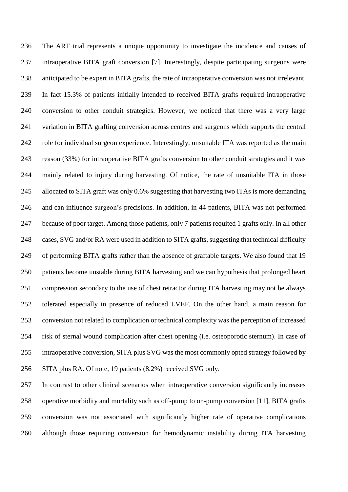The ART trial represents a unique opportunity to investigate the incidence and causes of intraoperative BITA graft conversion [7]. Interestingly, despite participating surgeons were anticipated to be expert in BITA grafts, the rate of intraoperative conversion was not irrelevant. In fact 15.3% of patients initially intended to received BITA grafts required intraoperative conversion to other conduit strategies. However, we noticed that there was a very large variation in BITA grafting conversion across centres and surgeons which supports the central role for individual surgeon experience. Interestingly, unsuitable ITA was reported as the main reason (33%) for intraoperative BITA grafts conversion to other conduit strategies and it was mainly related to injury during harvesting. Of notice, the rate of unsuitable ITA in those allocated to SITA graft was only 0.6% suggesting that harvesting two ITAs is more demanding and can influence surgeon's precisions. In addition, in 44 patients, BITA was not performed because of poor target. Among those patients, only 7 patients requited 1 grafts only. In all other cases, SVG and/or RA were used in addition to SITA grafts, suggesting that technical difficulty of performing BITA grafts rather than the absence of graftable targets. We also found that 19 patients become unstable during BITA harvesting and we can hypothesis that prolonged heart compression secondary to the use of chest retractor during ITA harvesting may not be always tolerated especially in presence of reduced LVEF. On the other hand, a main reason for conversion not related to complication or technical complexity was the perception of increased risk of sternal wound complication after chest opening (i.e. osteoporotic sternum). In case of intraoperative conversion, SITA plus SVG was the most commonly opted strategy followed by SITA plus RA. Of note, 19 patients (8.2%) received SVG only.

 In contrast to other clinical scenarios when intraoperative conversion significantly increases operative morbidity and mortality such as off-pump to on-pump conversion [11], BITA grafts conversion was not associated with significantly higher rate of operative complications although those requiring conversion for hemodynamic instability during ITA harvesting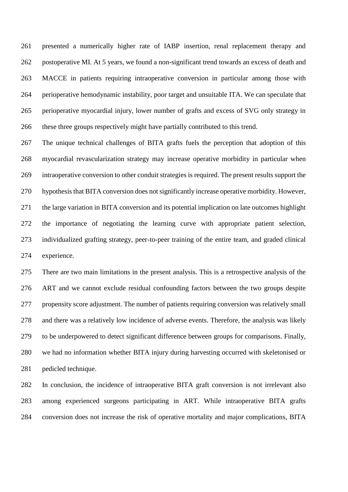presented a numerically higher rate of IABP insertion, renal replacement therapy and postoperative MI. At 5 years, we found a non-significant trend towards an excess of death and MACCE in patients requiring intraoperative conversion in particular among those with perioperative hemodynamic instability, poor target and unsuitable ITA. We can speculate that perioperative myocardial injury, lower number of grafts and excess of SVG only strategy in these three groups respectively might have partially contributed to this trend.

 The unique technical challenges of BITA grafts fuels the perception that adoption of this myocardial revascularization strategy may increase operative morbidity in particular when intraoperative conversion to other conduit strategies is required. The present results support the hypothesis that BITA conversion does not significantly increase operative morbidity. However, the large variation in BITA conversion and its potential implication on late outcomes highlight the importance of negotiating the learning curve with appropriate patient selection, individualized grafting strategy, peer-to-peer training of the entire team, and graded clinical experience.

 There are two main limitations in the present analysis. This is a retrospective analysis of the ART and we cannot exclude residual confounding factors between the two groups despite propensity score adjustment. The number of patients requiring conversion was relatively small and there was a relatively low incidence of adverse events. Therefore, the analysis was likely to be underpowered to detect significant difference between groups for comparisons. Finally, we had no information whether BITA injury during harvesting occurred with skeletonised or pedicled technique.

 In conclusion, the incidence of intraoperative BITA graft conversion is not irrelevant also among experienced surgeons participating in ART. While intraoperative BITA grafts conversion does not increase the risk of operative mortality and major complications, BITA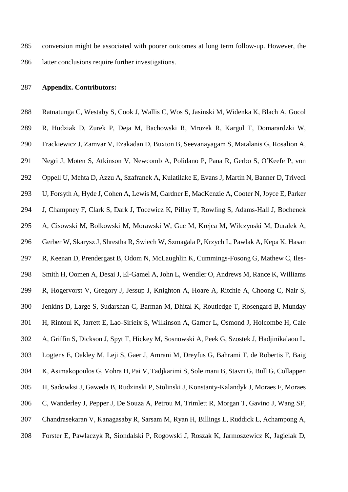conversion might be associated with poorer outcomes at long term follow-up. However, the latter conclusions require further investigations.

## **Appendix. Contributors:**

 Ratnatunga C, Westaby S, Cook J, Wallis C, Wos S, Jasinski M, Widenka K, Blach A, Gocol R, Hudziak D, Zurek P, Deja M, Bachowski R, Mrozek R, Kargul T, Domarardzki W, Frackiewicz J, Zamvar V, Ezakadan D, Buxton B, Seevanayagam S, Matalanis G, Rosalion A, Negri J, Moten S, Atkinson V, Newcomb A, Polidano P, Pana R, Gerbo S, O'Keefe P, von Oppell U, Mehta D, Azzu A, Szafranek A, Kulatilake E, Evans J, Martin N, Banner D, Trivedi U, Forsyth A, Hyde J, Cohen A, Lewis M, Gardner E, MacKenzie A, Cooter N, Joyce E, Parker J, Champney F, Clark S, Dark J, Tocewicz K, Pillay T, Rowling S, Adams-Hall J, Bochenek A, Cisowski M, Bolkowski M, Morawski W, Guc M, Krejca M, Wilczynski M, Duralek A, Gerber W, Skarysz J, Shrestha R, Swiech W, Szmagala P, Krzych L, Pawlak A, Kepa K, Hasan R, Keenan D, Prendergast B, Odom N, McLaughlin K, Cummings-Fosong G, Mathew C, Iles- Smith H, Oomen A, Desai J, El-Gamel A, John L, Wendler O, Andrews M, Rance K, Williams R, Hogervorst V, Gregory J, Jessup J, Knighton A, Hoare A, Ritchie A, Choong C, Nair S, Jenkins D, Large S, Sudarshan C, Barman M, Dhital K, Routledge T, Rosengard B, Munday H, Rintoul K, Jarrett E, Lao-Sirieix S, Wilkinson A, Garner L, Osmond J, Holcombe H, Cale A, Griffin S, Dickson J, Spyt T, Hickey M, Sosnowski A, Peek G, Szostek J, Hadjinikalaou L, Logtens E, Oakley M, Leji S, Gaer J, Amrani M, Dreyfus G, Bahrami T, de Robertis F, Baig K, Asimakopoulos G, Vohra H, Pai V, Tadjkarimi S, Soleimani B, Stavri G, Bull G, Collappen H, Sadowksi J, Gaweda B, Rudzinski P, Stolinski J, Konstanty-Kalandyk J, Moraes F, Moraes C, Wanderley J, Pepper J, De Souza A, Petrou M, Trimlett R, Morgan T, Gavino J, Wang SF, Chandrasekaran V, Kanagasaby R, Sarsam M, Ryan H, Billings L, Ruddick L, Achampong A, Forster E, Pawlaczyk R, Siondalski P, Rogowski J, Roszak K, Jarmoszewicz K, Jagielak D,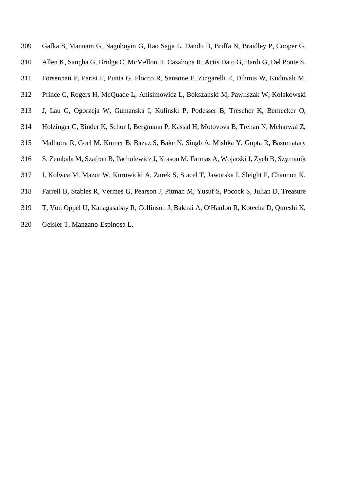- Gafka S, Mannam G, Naguboyin G, Rao Sajja L, Dandu B, Briffa N, Braidley P, Cooper G, Allen K, Sangha G, Bridge C, McMellon H, Casabona R, Actis Dato G, Bardi G, Del Ponte S, Forsennati P, Parisi F, Punta G, Flocco R, Sansone F, Zingarelli E, Dihmis W, Kuduvali M, Prince C, Rogers H, McQuade L, Anisimowicz L, Bokszanski M, Pawliszak W, Kolakowski J, Lau G, Ogorzeja W, Gumanska I, Kulinski P, Podesser B, Trescher K, Bernecker O, Holzinger C, Binder K, Schor I, Bergmann P, Kassal H, Motovova B, Trehan N, Meharwal Z, Malhotra R, Goel M, Kumer B, Bazaz S, Bake N, Singh A, Mishka Y, Gupta R, Basumatary S, Zembala M, Szafron B, Pacholewicz J, Krason M, Farmas A, Wojarski J, Zych B, Szymanik I, Kolwca M, Mazur W, Kurowicki A, Zurek S, Stacel T, Jaworska I, Sleight P, Channon K, Farrell B, Stables R, Vermes G, Pearson J, Pitman M, Yusuf S, Pocock S, Julian D, Treasure
- T, Von Oppel U, Kanagasabay R, Collinson J, Bakhai A, O'Hanlon R, Kotecha D, Qureshi K,
- Geisler T, Manzano-Espinosa L**.**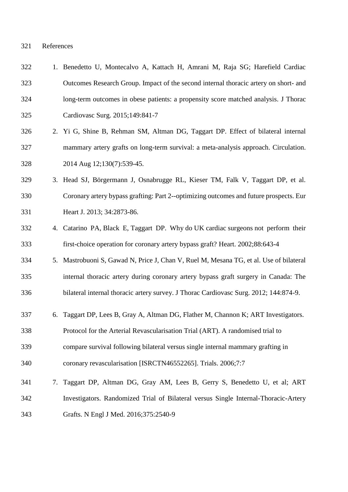#### ferences

| 322 |    | 1. Benedetto U, Montecalvo A, Kattach H, Amrani M, Raja SG; Harefield Cardiac          |
|-----|----|----------------------------------------------------------------------------------------|
| 323 |    | Outcomes Research Group. Impact of the second internal thoracic artery on short- and   |
| 324 |    | long-term outcomes in obese patients: a propensity score matched analysis. J Thorac    |
| 325 |    | Cardiovasc Surg. 2015;149:841-7                                                        |
| 326 |    | 2. Yi G, Shine B, Rehman SM, Altman DG, Taggart DP. Effect of bilateral internal       |
| 327 |    | mammary artery grafts on long-term survival: a meta-analysis approach. Circulation.    |
| 328 |    | 2014 Aug 12;130(7):539-45.                                                             |
| 329 |    | 3. Head SJ, Börgermann J, Osnabrugge RL, Kieser TM, Falk V, Taggart DP, et al.         |
| 330 |    | Coronary artery bypass grafting: Part 2--optimizing outcomes and future prospects. Eur |
| 331 |    | Heart J. 2013; 34:2873-86.                                                             |
| 332 |    | 4. Catarino PA, Black E, Taggart DP. Why do UK cardiac surgeons not perform their      |
| 333 |    | first-choice operation for coronary artery bypass graft? Heart. 2002;88:643-4          |
| 334 |    | 5. Mastrobuoni S, Gawad N, Price J, Chan V, Ruel M, Mesana TG, et al. Use of bilateral |
| 335 |    | internal thoracic artery during coronary artery bypass graft surgery in Canada: The    |
| 336 |    | bilateral internal thoracic artery survey. J Thorac Cardiovasc Surg. 2012; 144:874-9.  |
| 337 | 6. | Taggart DP, Lees B, Gray A, Altman DG, Flather M, Channon K; ART Investigators.        |
| 338 |    | Protocol for the Arterial Revascularisation Trial (ART). A randomised trial to         |
| 339 |    | compare survival following bilateral versus single internal mammary grafting in        |
| 340 |    | coronary revascularisation [ISRCTN46552265]. Trials. 2006;7:7                          |
| 341 | 7. | Taggart DP, Altman DG, Gray AM, Lees B, Gerry S, Benedetto U, et al; ART               |
| 342 |    | Investigators. Randomized Trial of Bilateral versus Single Internal-Thoracic-Artery    |
| 343 |    | Grafts. N Engl J Med. 2016;375:2540-9                                                  |
|     |    |                                                                                        |

$$
321 \t\t\t\tRef
$$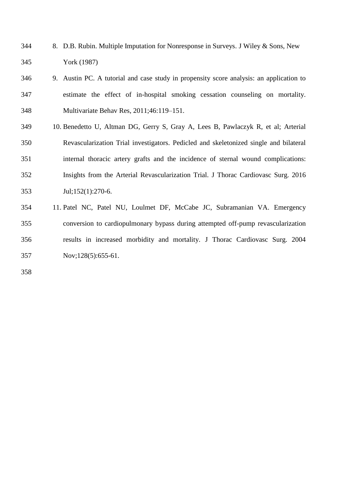- 8. D.B. Rubin. Multiple Imputation for Nonresponse in Surveys. J Wiley & Sons, New York (1987)
- 9. Austin PC. A tutorial and case study in propensity score analysis: an application to estimate the effect of in-hospital smoking cessation counseling on mortality. Multivariate Behav Res, 2011;46:119–151.
- 10. Benedetto U, Altman DG, Gerry S, Gray A, Lees B, Pawlaczyk R, et al; Arterial Revascularization Trial investigators. Pedicled and skeletonized single and bilateral internal thoracic artery grafts and the incidence of sternal wound complications: Insights from the Arterial Revascularization Trial. J Thorac Cardiovasc Surg. 2016 Jul;152(1):270-6.
- 11. Patel NC, Patel NU, Loulmet DF, McCabe JC, Subramanian VA. Emergency conversion to cardiopulmonary bypass during attempted off-pump revascularization results in increased morbidity and mortality. J Thorac Cardiovasc Surg. 2004 Nov;128(5):655-61.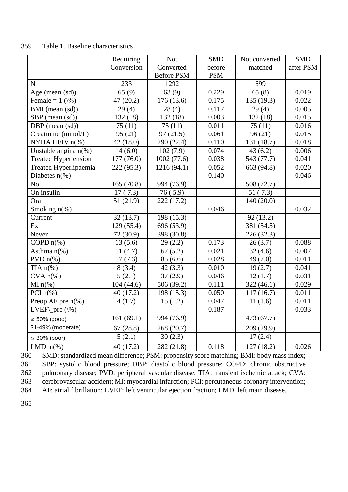|                                 | Requiring              | <b>Not</b>        | <b>SMD</b> | Not converted | <b>SMD</b> |
|---------------------------------|------------------------|-------------------|------------|---------------|------------|
|                                 | Conversion             | Converted         | before     | matched       | after PSM  |
|                                 |                        | <b>Before PSM</b> | <b>PSM</b> |               |            |
| ${\bf N}$                       | 233                    | 1292              |            | 699           |            |
| Age (mean (sd))                 | 65(9)                  | 63(9)             | 0.229      | 65(8)         | 0.019      |
| Female = $1$ ( $\%$ )           | 47(20.2)               | 176 (13.6)        | 0.175      | 135 (19.3)    | 0.022      |
| BMI (mean (sd))                 | 29(4)                  | 28(4)             | 0.117      | 29(4)         | 0.005      |
| SBP (mean (sd))                 | 132(18)                | 132(18)           | 0.003      | 132(18)       | 0.015      |
| DBP (mean (sd))                 | 75(11)                 | 75(11)            | 0.011      | 75(11)        | 0.016      |
| Creatinine (mmol/L)             | 95(21)                 | 97(21.5)          | 0.061      | 96(21)        | 0.015      |
| NYHA III/IV n(%)                | 42 (18.0)              | 290 (22.4)        | 0.110      | 131 (18.7)    | 0.018      |
| Unstable angina $n$ (%)         | 14(6.0)                | 102(7.9)          | 0.074      | 43(6.2)       | 0.006      |
| <b>Treated Hypertension</b>     | 177 (76.0)             | 1002(77.6)        | 0.038      | 543 (77.7)    | 0.041      |
| Treated Hyperlipaemia           | 222 (95.3)             | 1216(94.1)        | 0.052      | 663 (94.8)    | 0.020      |
| Diabetes $n\%$ )                |                        |                   | 0.140      |               | 0.046      |
| N <sub>o</sub>                  | 165(70.8)              | 994 (76.9)        |            | 508 (72.7)    |            |
| On insulin                      | 17(7.3)                | 76(5.9)           |            | 51(7.3)       |            |
| Oral                            | 51(21.9)               | 222 (17.2)        |            | 140(20.0)     |            |
| Smoking $n$ <sup>(%)</sup>      |                        |                   | 0.046      |               | 0.032      |
| Current                         | 32(13.7)               | 198 (15.3)        |            | 92(13.2)      |            |
| Ex                              | $\overline{1}29(55.4)$ | 696 (53.9)        |            | 381 (54.5)    |            |
| Never                           | 72 (30.9)              | 398 (30.8)        |            | 226 (32.3)    |            |
| COPD $n$ <sup>(%)</sup>         | 13(5.6)                | 29(2.2)           | 0.173      | 26(3.7)       | 0.088      |
| Asthma $n$ <sup>(%)</sup>       | 11(4.7)                | 67(5.2)           | 0.021      | 32(4.6)       | 0.007      |
| $PVDn(\%)$                      | 17(7.3)                | 85(6.6)           | 0.028      | 49 (7.0)      | 0.011      |
| TIA $n$ <sup>(%)</sup>          | 8(3.4)                 | 42(3.3)           | 0.010      | 19(2.7)       | 0.041      |
| $CVA n(*)$                      | 5(2.1)                 | 37(2.9)           | 0.046      | 12(1.7)       | 0.031      |
| $MI n(\%)$                      | 104(44.6)              | 506 (39.2)        | 0.111      | 322(46.1)     | 0.029      |
| PCI $n$ <sup>(%)</sup>          | 40(17.2)               | 198 (15.3)        | 0.050      | 117(16.7)     | 0.011      |
| Preop AF pre $n$ <sup>(%)</sup> | 4(1.7)                 | 15(1.2)           | 0.047      | 11(1.6)       | 0.011      |
| LVEF $_{pre}(\% )$              |                        |                   | 0.187      |               | 0.033      |
| $\geq 50\%$ (good)              | 161(69.1)              | 994 (76.9)        |            | 473 (67.7)    |            |
| 31-49% (moderate)               | 67(28.8)               | 268 (20.7)        |            | 209 (29.9)    |            |
| $\leq$ 30% (poor)               | 5(2.1)                 | 30(2.3)           |            | 17(2.4)       |            |
| LMD $n\%$ )                     | 40(17.2)               | 282 (21.8)        | 0.118      | 127(18.2)     | 0.026      |

### 359 Table 1. Baseline characteristics

 $\frac{232(21.6)}{11.2}$   $\frac{232(21.6)}{252(21.6)}$   $\frac{0.116}{11.2}$   $\frac{127(16.2)}{127(16.2)}$   $\frac{0.022}{10.2}$ <br>360 SMD: standardized mean difference; PSM: propensity score matching; BMI: body mass index; SBP: systolic blood pressure; DBP: diastolic blood pressure; COPD: chronic obstructive pulmonary disease; PVD: peripheral vascular disease; TIA: transient ischemic attack; CVA: cerebrovascular accident; MI: myocardial infarction; PCI: percutaneous coronary intervention; AF: atrial fibrillation; LVEF: left ventricular ejection fraction; LMD: left main disease.

365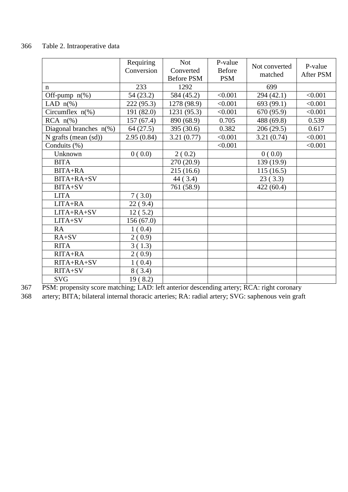# 366 Table 2. Intraoperative data

|                           | Requiring<br>Conversion | <b>Not</b><br>Converted<br><b>Before PSM</b> | P-value<br><b>Before</b><br><b>PSM</b> | Not converted<br>matched | P-value<br>After PSM |
|---------------------------|-------------------------|----------------------------------------------|----------------------------------------|--------------------------|----------------------|
| n                         | 233                     | 1292                                         |                                        | 699                      |                      |
| Off-pump $n$ (%)          | 54 (23.2)               | 584 (45.2)                                   | < 0.001                                | 294 (42.1)               | < 0.001              |
| LAD $n\%$ )               | 222 (95.3)              | 1278 (98.9)                                  | < 0.001                                | 693 (99.1)               | < 0.001              |
| Circumflex $n$ (%)        | 191 (82.0)              | 1231 (95.3)                                  | < 0.001                                | 670 (95.9)               | < 0.001              |
| $RCA \; n(\%)$            | 157(67.4)               | 890 (68.9)                                   | 0.705                                  | 488 (69.8)               | 0.539                |
| Diagonal branches $n$ (%) | 64(27.5)                | 395 (30.6)                                   | 0.382                                  | 206(29.5)                | 0.617                |
| N grafts (mean (sd))      | 2.95(0.84)              | 3.21(0.77)                                   | < 0.001                                | 3.21(0.74)               | < 0.001              |
| Conduits (%)              |                         |                                              | < 0.001                                |                          | < 0.001              |
| Unknown                   | 0(0.0)                  | 2(0.2)                                       |                                        | 0(0.0)                   |                      |
| <b>BITA</b>               |                         | 270 (20.9)                                   |                                        | 139 (19.9)               |                      |
| BITA+RA                   |                         | 215(16.6)                                    |                                        | 115(16.5)                |                      |
| BITA+RA+SV                |                         | 44 (3.4)                                     |                                        | 23(3.3)                  |                      |
| BITA+SV                   |                         | 761 (58.9)                                   |                                        | 422(60.4)                |                      |
| <b>LITA</b>               | 7(3.0)                  |                                              |                                        |                          |                      |
| LITA+RA                   | 22(9.4)                 |                                              |                                        |                          |                      |
| LITA+RA+SV                | 12(5.2)                 |                                              |                                        |                          |                      |
| LITA+SV                   | 156(67.0)               |                                              |                                        |                          |                      |
| <b>RA</b>                 | 1(0.4)                  |                                              |                                        |                          |                      |
| $RA+SV$                   | 2(0.9)                  |                                              |                                        |                          |                      |
| <b>RITA</b>               | 3(1.3)                  |                                              |                                        |                          |                      |
| RITA+RA                   | 2(0.9)                  |                                              |                                        |                          |                      |
| RITA+RA+SV                | 1(0.4)                  |                                              |                                        |                          |                      |
| RITA+SV                   | 8(3.4)                  |                                              |                                        |                          |                      |
| <b>SVG</b>                | 19(8.2)                 |                                              |                                        |                          |                      |

367 PSM: propensity score matching; LAD: left anterior descending artery; RCA: right coronary

368 artery; BITA; bilateral internal thoracic arteries; RA: radial artery; SVG: saphenous vein graft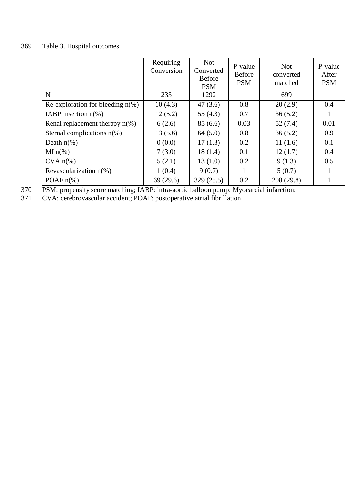# 369 Table 3. Hospital outcomes

|                                      | Requiring<br>Conversion | <b>Not</b><br>Converted<br><b>Before</b><br><b>PSM</b> | P-value<br><b>Before</b><br><b>PSM</b> | <b>Not</b><br>converted<br>matched | P-value<br>After<br><b>PSM</b> |
|--------------------------------------|-------------------------|--------------------------------------------------------|----------------------------------------|------------------------------------|--------------------------------|
| N                                    | 233                     | 1292                                                   |                                        | 699                                |                                |
| Re-exploration for bleeding $n(\%)$  | 10(4.3)                 | 47(3.6)                                                | 0.8                                    | 20(2.9)                            | 0.4                            |
| IABP insertion $n(\%)$               | 12(5.2)                 | 55 $(4.3)$                                             | 0.7                                    | 36(5.2)                            |                                |
| Renal replacement therapy $n(\%)$    | 6(2.6)                  | 85(6.6)                                                | 0.03                                   | 52(7.4)                            | 0.01                           |
| Sternal complications $n(\%)$        | 13(5.6)                 | 64(5.0)                                                | 0.8                                    | 36(5.2)                            | 0.9                            |
| Death $n\%$ )                        | 0(0.0)                  | 17(1.3)                                                | 0.2                                    | 11(1.6)                            | 0.1                            |
| $MI n(\%)$                           | 7(3.0)                  | 18(1.4)                                                | 0.1                                    | 12(1.7)                            | 0.4                            |
| $CVA n(\%)$                          | 5(2.1)                  | 13(1.0)                                                | 0.2                                    | 9(1.3)                             | 0.5                            |
| Revascularization $n$ <sup>(%)</sup> | 1(0.4)                  | 9(0.7)                                                 | 1                                      | 5(0.7)                             |                                |
| POAF $n\frac{6}{6}$                  | 69(29.6)                | 329(25.5)                                              | 0.2                                    | 208 (29.8)                         |                                |

370 PSM: propensity score matching; IABP: intra-aortic balloon pump; Myocardial infarction;

371 CVA: cerebrovascular accident; POAF: postoperative atrial fibrillation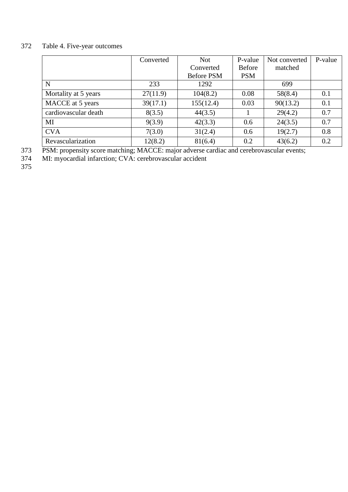# 372 Table 4. Five-year outcomes

|                      | Converted | <b>Not</b>        | P-value       | Not converted | P-value |
|----------------------|-----------|-------------------|---------------|---------------|---------|
|                      |           | Converted         | <b>Before</b> | matched       |         |
|                      |           | <b>Before PSM</b> | <b>PSM</b>    |               |         |
| $\mathbf N$          | 233       | 1292              |               | 699           |         |
| Mortality at 5 years | 27(11.9)  | 104(8.2)          | 0.08          | 58(8.4)       | 0.1     |
| MACCE at 5 years     | 39(17.1)  | 155(12.4)         | 0.03          | 90(13.2)      | 0.1     |
| cardiovascular death | 8(3.5)    | 44(3.5)           |               | 29(4.2)       | 0.7     |
| MI                   | 9(3.9)    | 42(3.3)           | 0.6           | 24(3.5)       | 0.7     |
| <b>CVA</b>           | 7(3.0)    | 31(2.4)           | 0.6           | 19(2.7)       | 0.8     |
| Revascularization    | 12(8.2)   | 81(6.4)           | 0.2           | 43(6.2)       | 0.2     |

373 PSM: propensity score matching; MACCE: major adverse cardiac and cerebrovascular events; 373<br>374<br>375

374 MI: myocardial infarction; CVA: cerebrovascular accident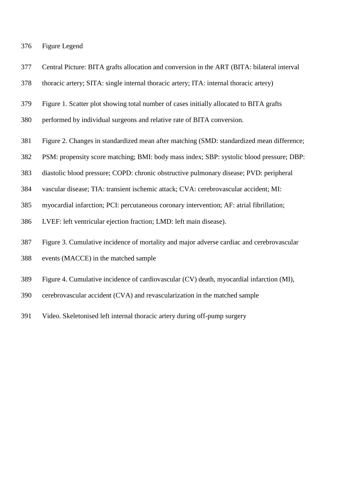- Figure Legend
- Central Picture: BITA grafts allocation and conversion in the ART (BITA: bilateral interval
- thoracic artery; SITA: single internal thoracic artery; ITA: internal thoracic artery)
- Figure 1. Scatter plot showing total number of cases initially allocated to BITA grafts
- performed by individual surgeons and relative rate of BITA conversion.
- Figure 2. Changes in standardized mean after matching (SMD: standardized mean difference;
- PSM: propensity score matching; BMI: body mass index; SBP: systolic blood pressure; DBP:
- diastolic blood pressure; COPD: chronic obstructive pulmonary disease; PVD: peripheral
- vascular disease; TIA: transient ischemic attack; CVA: cerebrovascular accident; MI:
- myocardial infarction; PCI: percutaneous coronary intervention; AF: atrial fibrillation;
- LVEF: left ventricular ejection fraction; LMD: left main disease).
- Figure 3. Cumulative incidence of mortality and major adverse cardiac and cerebrovascular
- events (MACCE) in the matched sample
- Figure 4. Cumulative incidence of cardiovascular (CV) death, myocardial infarction (MI),
- cerebrovascular accident (CVA) and revascularization in the matched sample
- Video. Skeletonised left internal thoracic artery during off-pump surgery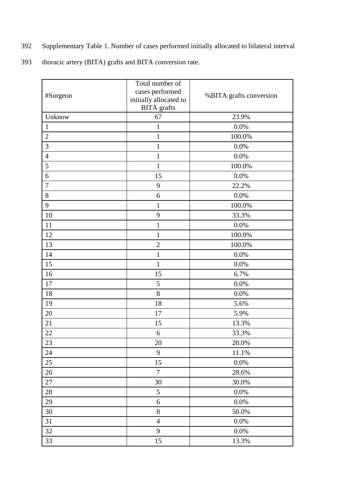- Supplementary Table 1. Number of cases performed initially allocated to bilateral interval
- thoracic artery (BITA) grafts and BITA conversion rate.

| #Surgeon       | Total number of<br>cases performed<br>initially allocated to<br><b>BITA</b> grafts | %BITA grafts conversion |
|----------------|------------------------------------------------------------------------------------|-------------------------|
| Unknow         | 67                                                                                 | 23.9%                   |
| $\mathbf{1}$   | $\mathbf{1}$                                                                       | 0.0%                    |
| $\overline{2}$ | $\mathbf{1}$                                                                       | 100.0%                  |
| 3              | $\mathbf{1}$                                                                       | 0.0%                    |
| $\overline{4}$ | $\mathbf{1}$                                                                       | 0.0%                    |
| 5              | $\mathbf{1}$                                                                       | 100.0%                  |
| 6              | 15                                                                                 | 0.0%                    |
| $\overline{7}$ | 9                                                                                  | 22.2%                   |
| 8              | 6                                                                                  | 0.0%                    |
| 9              | $\mathbf{1}$                                                                       | 100.0%                  |
| 10             | 9                                                                                  | 33.3%                   |
| 11             | $\mathbf{1}$                                                                       | 0.0%                    |
| 12             | $\mathbf{1}$                                                                       | 100.0%                  |
| 13             | $\overline{2}$                                                                     | 100.0%                  |
| 14             | $\mathbf{1}$                                                                       | 0.0%                    |
| 15             | $\mathbf{1}$                                                                       | 0.0%                    |
| 16             | 15                                                                                 | 6.7%                    |
| 17             | 5                                                                                  | 0.0%                    |
| 18             | 8                                                                                  | 0.0%                    |
| 19             | 18                                                                                 | 5.6%                    |
| 20             | 17                                                                                 | 5.9%                    |
| 21             | 15                                                                                 | 13.3%                   |
| 22             | 6                                                                                  | 33.3%                   |
| 23             | 20                                                                                 | 20.0%                   |
| 24             | 9                                                                                  | 11.1%                   |
| 25             | 15                                                                                 | 0.0%                    |
| 26             | $\overline{7}$                                                                     | 28.6%                   |
| 27             | 30                                                                                 | 30.0%                   |
| 28             | $\mathfrak{S}$                                                                     | 0.0%                    |
| 29             | 6                                                                                  | 0.0%                    |
| 30             | $8\,$                                                                              | 50.0%                   |
| 31             | $\overline{4}$                                                                     | $0.0\%$                 |
| 32             | 9                                                                                  | $0.0\%$                 |
| 33             | 15                                                                                 | 13.3%                   |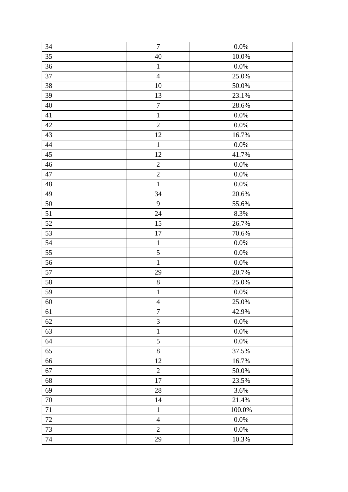| 34     | $\tau$           | $0.0\%$ |
|--------|------------------|---------|
| 35     | 40               | 10.0%   |
| $36\,$ | $\mathbf 1$      | $0.0\%$ |
| 37     | $\overline{4}$   | 25.0%   |
| 38     | 10               | 50.0%   |
| 39     | 13               | 23.1%   |
| 40     | $\boldsymbol{7}$ | 28.6%   |
| 41     | $\mathbf{1}$     | $0.0\%$ |
| 42     | $\overline{2}$   | 0.0%    |
| 43     | 12               | 16.7%   |
| 44     | $\mathbf{1}$     | $0.0\%$ |
| 45     | 12               | 41.7%   |
| 46     | $\sqrt{2}$       | $0.0\%$ |
| 47     | $\sqrt{2}$       | 0.0%    |
| 48     | $\mathbf{1}$     | 0.0%    |
| 49     | 34               | 20.6%   |
| 50     | 9                | 55.6%   |
| 51     | 24               | 8.3%    |
| $52\,$ | 15               | 26.7%   |
| 53     | 17               | 70.6%   |
| 54     | $\mathbf{1}$     | 0.0%    |
| 55     | $\sqrt{5}$       | $0.0\%$ |
| 56     | $\mathbf{1}$     | $0.0\%$ |
| 57     | 29               | 20.7%   |
| 58     | $8\,$            | 25.0%   |
| 59     | $\mathbf 1$      | $0.0\%$ |
| 60     | $\overline{4}$   | 25.0%   |
| 61     | $\overline{7}$   | 42.9%   |
| 62     | $\overline{3}$   | 0.0%    |
| 63     | $\mathbf{1}$     | 0.0%    |
| 64     | 5                | 0.0%    |
| 65     | $8\,$            | 37.5%   |
| 66     | 12               | 16.7%   |
| 67     | $\overline{2}$   | 50.0%   |
| 68     | $17\,$           | 23.5%   |
| 69     | 28               | 3.6%    |
| 70     | 14               | 21.4%   |
| 71     | $\mathbf 1$      | 100.0%  |
| 72     | $\overline{4}$   | $0.0\%$ |
| 73     | $\overline{2}$   | $0.0\%$ |
| 74     | 29               | 10.3%   |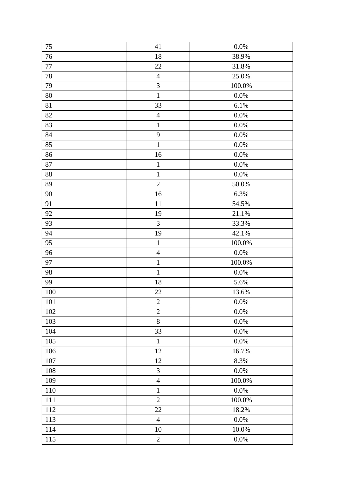| 75     | 41             | $0.0\%$ |
|--------|----------------|---------|
| 76     | 18             | 38.9%   |
| $77\,$ | 22             | 31.8%   |
| 78     | $\overline{4}$ | 25.0%   |
| 79     | 3              | 100.0%  |
| 80     | $\mathbf{1}$   | $0.0\%$ |
| 81     | 33             | 6.1%    |
| 82     | $\overline{4}$ | $0.0\%$ |
| 83     | $\mathbf 1$    | 0.0%    |
| 84     | 9              | 0.0%    |
| 85     | $\mathbf{1}$   | 0.0%    |
| 86     | 16             | 0.0%    |
| 87     | $\,1\,$        | 0.0%    |
| 88     | $\mathbf 1$    | 0.0%    |
| 89     | $\overline{2}$ | 50.0%   |
| 90     | 16             | 6.3%    |
| 91     | 11             | 54.5%   |
| 92     | 19             | 21.1%   |
| 93     | 3              | 33.3%   |
| 94     | 19             | 42.1%   |
| 95     | $\mathbf{1}$   | 100.0%  |
| 96     | $\overline{4}$ | 0.0%    |
| 97     | $\mathbf{1}$   | 100.0%  |
| 98     | $\mathbf 1$    | 0.0%    |
| 99     | 18             | 5.6%    |
| 100    | $22\,$         | 13.6%   |
| 101    | $\overline{2}$ | 0.0%    |
| 102    | $\overline{2}$ | 0.0%    |
| 103    | $8\,$          | 0.0%    |
| 104    | 33             | 0.0%    |
| 105    | $\mathbf{1}$   | 0.0%    |
| 106    | 12             | 16.7%   |
| 107    | 12             | 8.3%    |
| 108    | 3              | 0.0%    |
| 109    | $\overline{4}$ | 100.0%  |
| 110    | $\mathbf{1}$   | 0.0%    |
| 111    | $\overline{2}$ | 100.0%  |
| 112    | $22\,$         | 18.2%   |
| 113    | $\overline{4}$ | 0.0%    |
| 114    | 10             | 10.0%   |
| 115    | $\sqrt{2}$     | $0.0\%$ |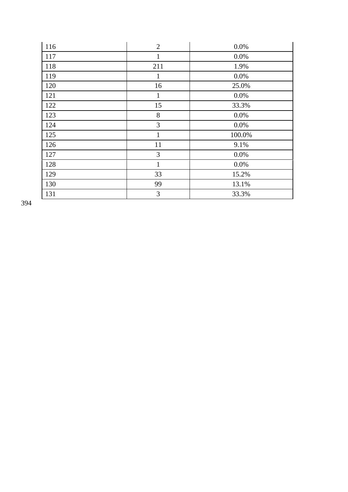| 116 | $\overline{2}$ | 0.0%   |
|-----|----------------|--------|
| 117 | $\mathbf{1}$   | 0.0%   |
| 118 | 211            | 1.9%   |
| 119 | $\mathbf{1}$   | 0.0%   |
| 120 | 16             | 25.0%  |
| 121 | $\mathbf{1}$   | 0.0%   |
| 122 | 15             | 33.3%  |
| 123 | 8              | 0.0%   |
| 124 | 3              | 0.0%   |
| 125 | $\mathbf{1}$   | 100.0% |
| 126 | 11             | 9.1%   |
| 127 | 3              | 0.0%   |
| 128 | $\mathbf{1}$   | 0.0%   |
| 129 | 33             | 15.2%  |
| 130 | 99             | 13.1%  |
| 131 | 3              | 33.3%  |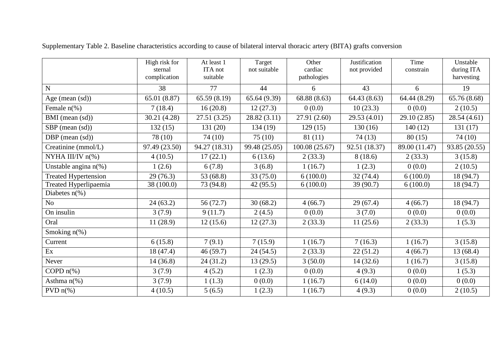|                                | High risk for<br>sternal<br>complication | At least 1<br>ITA not<br>suitable | Target<br>not suitable     | Other<br>cardiac<br>pathologies | Justification<br>not provided | Time<br>constrain | Unstable<br>during ITA<br>harvesting |
|--------------------------------|------------------------------------------|-----------------------------------|----------------------------|---------------------------------|-------------------------------|-------------------|--------------------------------------|
| ${\bf N}$                      | 38                                       | 77                                | 44                         | 6                               | 43                            | 6                 | 19                                   |
| Age (mean $(sd)$ )             | 65.01 (8.87)                             | 65.59(8.19)                       | 65.64 (9.39)               | 68.88 (8.63)                    | 64.43(8.63)                   | 64.44 (8.29)      | 65.76 (8.68)                         |
| Female $n$ <sup>(%)</sup>      | 7(18.4)                                  | 16(20.8)                          | 12(27.3)                   | 0(0.0)                          | 10(23.3)                      | 0(0.0)            | 2(10.5)                              |
| BMI (mean (sd))                | 30.21 (4.28)                             | 27.51(3.25)                       | 28.82(3.11)                | 27.91 (2.60)                    | 29.53 (4.01)                  | 29.10 (2.85)      | 28.54(4.61)                          |
| SBP (mean (sd))                | 132(15)                                  | 131 (20)                          | 134 (19)                   | 129(15)                         | 130(16)                       | 140(12)           | 131(17)                              |
| DBP (mean $(sd)$ )             | 78 (10)                                  | 74(10)                            | 75(10)                     | 81(11)                          | 74(13)                        | 80(15)            | 74(10)                               |
| Creatinine (mmol/L)            | 97.49 (23.50)                            | 94.27 (18.31)                     | $\overline{99.48}$ (25.05) | 100.08 (25.67)                  | 92.51 (18.37)                 | 89.00 (11.47)     | $\overline{9}3.85(20.55)$            |
| NYHA III/IV $n$ <sup>(%)</sup> | 4(10.5)                                  | 17(22.1)                          | 6(13.6)                    | 2(33.3)                         | 8(18.6)                       | 2(33.3)           | 3(15.8)                              |
| Unstable angina $n$ (%)        | 1(2.6)                                   | 6(7.8)                            | 3(6.8)                     | 1(16.7)                         | 1(2.3)                        | 0(0.0)            | 2(10.5)                              |
| <b>Treated Hypertension</b>    | 29(76.3)                                 | 53 (68.8)                         | 33(75.0)                   | 6(100.0)                        | 32(74.4)                      | 6(100.0)          | 18(94.7)                             |
| Treated Hyperlipaemia          | 38 (100.0)                               | 73 (94.8)                         | 42(95.5)                   | 6(100.0)                        | 39 (90.7)                     | 6(100.0)          | 18(94.7)                             |
| Diabetes $n$ <sup>(%)</sup>    |                                          |                                   |                            |                                 |                               |                   |                                      |
| N <sub>o</sub>                 | 24(63.2)                                 | 56 (72.7)                         | 30(68.2)                   | 4(66.7)                         | 29(67.4)                      | 4(66.7)           | 18(94.7)                             |
| On insulin                     | 3(7.9)                                   | 9(11.7)                           | 2(4.5)                     | 0(0.0)                          | 3(7.0)                        | 0(0.0)            | 0(0.0)                               |
| Oral                           | 11(28.9)                                 | 12(15.6)                          | 12(27.3)                   | 2(33.3)                         | 11(25.6)                      | 2(33.3)           | 1(5.3)                               |
| Smoking $n$ <sup>(%)</sup>     |                                          |                                   |                            |                                 |                               |                   |                                      |
| Current                        | 6(15.8)                                  | 7(9.1)                            | 7(15.9)                    | 1(16.7)                         | 7(16.3)                       | 1(16.7)           | 3(15.8)                              |
| Ex                             | 18 (47.4)                                | 46(59.7)                          | 24(54.5)                   | 2(33.3)                         | 22(51.2)                      | 4(66.7)           | 13(68.4)                             |
| Never                          | 14(36.8)                                 | 24(31.2)                          | 13(29.5)                   | 3(50.0)                         | 14(32.6)                      | 1(16.7)           | 3(15.8)                              |
| COPD $n$ <sup>(%)</sup>        | 3(7.9)                                   | 4(5.2)                            | 1(2.3)                     | 0(0.0)                          | 4(9.3)                        | 0(0.0)            | 1(5.3)                               |
| Asthma $n$ <sup>(%)</sup>      | 3(7.9)                                   | 1(1.3)                            | 0(0.0)                     | 1(16.7)                         | 6(14.0)                       | 0(0.0)            | 0(0.0)                               |
| PVD $n$ <sup>(%)</sup>         | 4(10.5)                                  | 5(6.5)                            | 1(2.3)                     | 1(16.7)                         | 4(9.3)                        | 0(0.0)            | 2(10.5)                              |

Supplementary Table 2. Baseline characteristics according to cause of bilateral interval thoracic artery (BITA) grafts conversion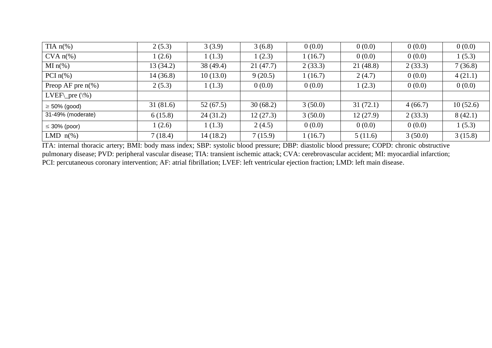| TIA $n\%$ )            | 2(5.3)   | 3(3.9)    | 3(6.8)   | 0(0.0)  | 0(0.0)   | 0(0.0)  | 0(0.0)   |
|------------------------|----------|-----------|----------|---------|----------|---------|----------|
| $CVA n(\%)$            | 1(2.6)   | 1(1.3)    | 1(2.3)   | 1(16.7) | 0(0.0)   | 0(0.0)  | 1(5.3)   |
| $MI n(\%)$             | 13(34.2) | 38(49.4)  | 21(47.7) | 2(33.3) | 21(48.8) | 2(33.3) | 7(36.8)  |
| PCI $n$ <sup>(%)</sup> | 14(36.8) | 10(13.0)  | 9(20.5)  | 1(16.7) | 2(4.7)   | 0(0.0)  | 4(21.1)  |
| Preop AF pre $n(\%)$   | 2(5.3)   | 1(1.3)    | 0(0.0)   | 0(0.0)  | 1(2.3)   | 0(0.0)  | 0(0.0)   |
| LVEF\_pre $(\% )$      |          |           |          |         |          |         |          |
| $\geq$ 50% (good)      | 31(81.6) | 52(67.5)  | 30(68.2) | 3(50.0) | 31(72.1) | 4(66.7) | 10(52.6) |
| 31-49% (moderate)      | 6(15.8)  | 24(31.2)  | 12(27.3) | 3(50.0) | 12(27.9) | 2(33.3) | 8(42.1)  |
| $\leq$ 30% (poor)      | 1(2.6)   | 1(1.3)    | 2(4.5)   | 0(0.0)  | 0(0.0)   | 0(0.0)  | 1(5.3)   |
| LMD $n\%$ )            | 7(18.4)  | 14 (18.2) | 7(15.9)  | 1(16.7) | 5(11.6)  | 3(50.0) | 3(15.8)  |

ITA: internal thoracic artery; BMI: body mass index; SBP: systolic blood pressure; DBP: diastolic blood pressure; COPD: chronic obstructive pulmonary disease; PVD: peripheral vascular disease; TIA: transient ischemic attack; CVA: cerebrovascular accident; MI: myocardial infarction; PCI: percutaneous coronary intervention; AF: atrial fibrillation; LVEF: left ventricular ejection fraction; LMD: left main disease.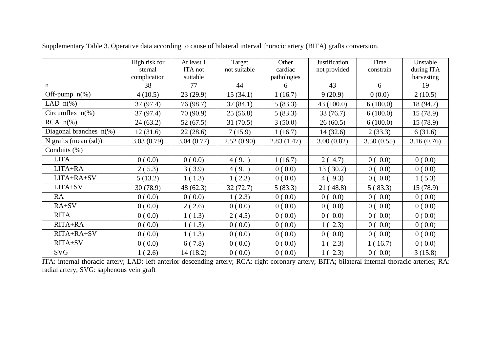|                                      | High risk for | At least 1 | Target       | Other       | Justification | Time       | Unstable   |
|--------------------------------------|---------------|------------|--------------|-------------|---------------|------------|------------|
|                                      | sternal       | ITA not    | not suitable | cardiac     | not provided  | constrain  | during ITA |
|                                      | complication  | suitable   |              | pathologies |               |            | harvesting |
| n                                    | 38            | 77         | 44           | 6           | 43            | 6          | 19         |
| Off-pump $n$ (%)                     | 4(10.5)       | 23(29.9)   | 15(34.1)     | 1(16.7)     | 9(20.9)       | 0(0.0)     | 2(10.5)    |
| LAD $n\%$ )                          | 37 (97.4)     | 76 (98.7)  | 37(84.1)     | 5(83.3)     | 43(100.0)     | 6(100.0)   | 18 (94.7)  |
| Circumflex $n(\%)$                   | 37 (97.4)     | 70 (90.9)  | 25(56.8)     | 5(83.3)     | 33(76.7)      | 6(100.0)   | 15(78.9)   |
| $RCA \; n(\%)$                       | 24(63.2)      | 52(67.5)   | 31(70.5)     | 3(50.0)     | 26(60.5)      | 6(100.0)   | 15(78.9)   |
| Diagonal branches $n$ <sup>(%)</sup> | 12(31.6)      | 22(28.6)   | 7(15.9)      | 1(16.7)     | 14(32.6)      | 2(33.3)    | 6(31.6)    |
| $N$ grafts (mean (sd))               | 3.03(0.79)    | 3.04(0.77) | 2.52(0.90)   | 2.83(1.47)  | 3.00(0.82)    | 3.50(0.55) | 3.16(0.76) |
| Conduits (%)                         |               |            |              |             |               |            |            |
| <b>LITA</b>                          | 0(0.0)        | 0(0.0)     | 4(9.1)       | 1(16.7)     | 2(4.7)        | 0(0.0)     | 0(0.0)     |
| LITA+RA                              | 2(5.3)        | 3(3.9)     | 4(9.1)       | 0(0.0)      | 13(30.2)      | 0(0.0)     | 0(0.0)     |
| LITA+RA+SV                           | 5(13.2)       | 1(1.3)     | 1(2.3)       | 0(0.0)      | 4(9.3)        | 0(0.0)     | 1(5.3)     |
| LITA+SV                              | 30 (78.9)     | 48(62.3)   | 32(72.7)     | 5(83.3)     | 21(48.8)      | 5(83.3)    | 15(78.9)   |
| RA                                   | 0(0.0)        | 0(0.0)     | 1(2.3)       | 0(0.0)      | 0(0.0)        | 0(0.0)     | 0(0.0)     |
| $RA+SV$                              | 0(0.0)        | 2(2.6)     | 0(0.0)       | 0(0.0)      | 0(0.0)        | 0(0.0)     | 0(0.0)     |
| <b>RITA</b>                          | 0(0.0)        | 1(1.3)     | 2(4.5)       | 0(0.0)      | 0(0.0)        | 0(0.0)     | 0(0.0)     |
| RITA+RA                              | 0(0.0)        | 1(1.3)     | 0(0.0)       | 0(0.0)      | 1(2.3)        | 0(0.0)     | 0(0.0)     |
| RITA+RA+SV                           | 0(0.0)        | 1(1.3)     | 0(0.0)       | 0(0.0)      | 0(0.0)        | 0(0.0)     | 0(0.0)     |
| RITA+SV                              | 0(0.0)        | 6(7.8)     | 0(0.0)       | 0(0.0)      | 1(2.3)        | 1(16.7)    | 0(0.0)     |
| <b>SVG</b>                           | 1(2.6)        | 14(18.2)   | 0(0.0)       | 0(0.0)      | 1(2.3)        | 0(0.0)     | 3(15.8)    |

Supplementary Table 3. Operative data according to cause of bilateral interval thoracic artery (BITA) grafts conversion.

ITA: internal thoracic artery; LAD: left anterior descending artery; RCA: right coronary artery; BITA; bilateral internal thoracic arteries; RA: radial artery; SVG: saphenous vein graft